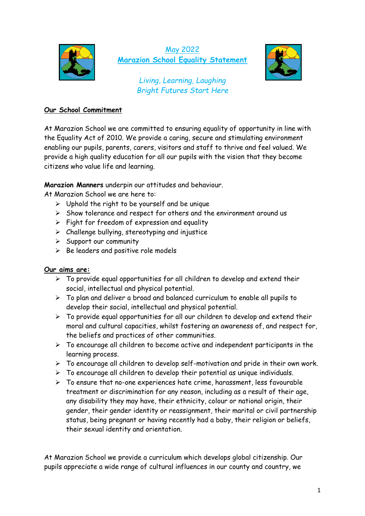

## May 2022 **Marazion School Equality Statement**



*Living, Learning, Laughing Bright Futures Start Here*

## **Our School Commitment**

At Marazion School we are committed to ensuring equality of opportunity in line with the Equality Act of 2010. We provide a caring, secure and stimulating environment enabling our pupils, parents, carers, visitors and staff to thrive and feel valued. We provide a high quality education for all our pupils with the vision that they become citizens who value life and learning.

**Marazion Manners** underpin our attitudes and behaviour.

At Marazion School we are here to:

- $\triangleright$  Uphold the right to be yourself and be unique
- ➢ Show tolerance and respect for others and the environment around us
- ➢ Fight for freedom of expression and equality
- $\triangleright$  Challenge bullying, stereotyping and injustice
- $\triangleright$  Support our community
- $\triangleright$  Be leaders and positive role models

## **Our aims are:**

- $\triangleright$  To provide equal opportunities for all children to develop and extend their social, intellectual and physical potential.
- $\triangleright$  To plan and deliver a broad and balanced curriculum to enable all pupils to develop their social, intellectual and physical potential.
- $\triangleright$  To provide equal opportunities for all our children to develop and extend their moral and cultural capacities, whilst fostering an awareness of, and respect for, the beliefs and practices of other communities.
- $\triangleright$  To encourage all children to become active and independent participants in the learning process.
- $\triangleright$  To encourage all children to develop self-motivation and pride in their own work.
- $\triangleright$  To encourage all children to develop their potential as unique individuals.
- ➢ To ensure that no-one experiences hate crime, harassment, less favourable treatment or discrimination for any reason, including as a result of their age, any disability they may have, their ethnicity, colour or national origin, their gender, their gender identity or reassignment, their marital or civil partnership status, being pregnant or having recently had a baby, their religion or beliefs, their sexual identity and orientation.

At Marazion School we provide a curriculum which develops global citizenship. Our pupils appreciate a wide range of cultural influences in our county and country, we